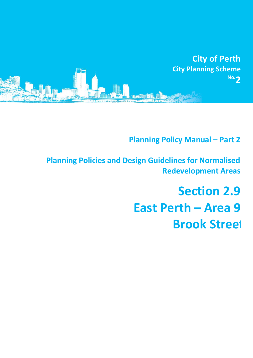

**Planning Policy Manual - Part 2** 

**Planning Policies and Design Guidelines for Normalised Redevelopment Areas**

> **Section 2.9 East Perth – Area 9 Brook Street**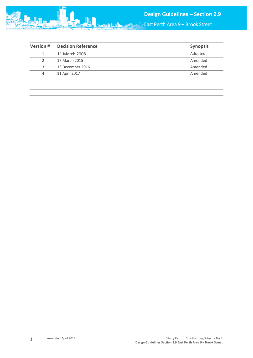

East Perth Area 9 – Brook Street

| Adopted<br>11 March 2008<br>17 March 2015<br>2<br>13 December 2016<br>3<br>11 April 2017<br>4 | <b>Version#</b> | <b>Decision Reference</b> | <b>Synopsis</b> |
|-----------------------------------------------------------------------------------------------|-----------------|---------------------------|-----------------|
|                                                                                               |                 |                           |                 |
|                                                                                               |                 |                           | Amended         |
|                                                                                               |                 |                           | Amended         |
|                                                                                               |                 |                           | Amended         |
|                                                                                               |                 |                           |                 |
|                                                                                               |                 |                           |                 |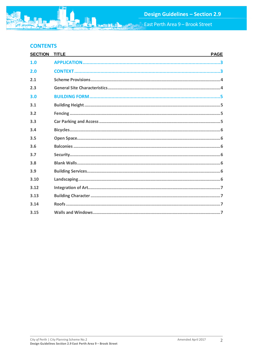East Perth Area 9 - Brook Street

# **CONTENTS**

| <b>SECTION</b> | <b>TITLE</b> | <b>PAGE</b> |
|----------------|--------------|-------------|
| 1.0            |              |             |
| 2.0            |              |             |
| 2.1            |              |             |
| 2.3            |              |             |
| 3.0            |              |             |
| 3.1            |              |             |
| 3.2            |              |             |
| 3.3            |              |             |
| 3.4            |              |             |
| 3.5            |              |             |
| 3.6            |              |             |
| 3.7            |              |             |
| 3.8            |              |             |
| 3.9            |              |             |
| 3.10           |              |             |
| 3.12           |              |             |
| 3.13           |              |             |
| 3.14           |              |             |
| 3.15           |              |             |

**SABIR**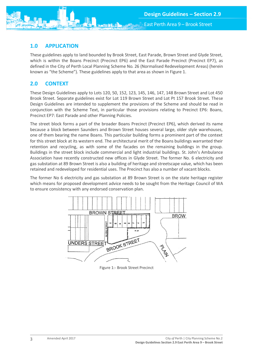

## <span id="page-3-0"></span>**1.0 APPLICATION**

These guidelines apply to land bounded by Brook Street, East Parade, Brown Street and Glyde Street, which is within the Boans Precinct (Precinct EP6) and the East Parade Precinct (Precinct EP7), as defined in the City of Perth Local Planning Scheme No. 26 (Normalised Redevelopment Areas) (herein known as "the Scheme"). These guidelines apply to that area as shown in Figure 1.

## <span id="page-3-1"></span>**2.0 CONTEXT**

These Design Guidelines apply to Lots 120, 50, 152, 123, 145, 146, 147, 148 Brown Street and Lot 450 Brook Street. Separate guidelines exist for Lot 119 Brown Street and Lot Pt 157 Brook Street. These Design Guidelines are intended to supplement the provisions of the Scheme and should be read in conjunction with the Scheme Text, in particular those provisions relating to Precinct EP6: Boans, Precinct EP7: East Parade and other Planning Policies.

The street block forms a part of the broader Boans Precinct (Precinct EP6), which derived its name because a block between Saunders and Brown Street houses several large, older style warehouses, one of them bearing the name Boans. This particular building forms a prominent part of the context for this street block at its western end. The architectural merit of the Boans buildings warranted their retention and recycling, as with some of the facades on the remaining buildings in the group. Buildings in the street block include commercial and light industrial buildings. St. John's Ambulance Association have recently constructed new offices in Glyde Street. The former No. 6 electricity and gas substation at 89 Brown Street is also a building of heritage and streetscape value, which has been retained and redeveloped for residential uses. The Precinct has also a number of vacant blocks.

The former No 6 electricity and gas substation at 89 Brown Street is on the state heritage register which means for proposed development advice needs to be sought from the Heritage Council of WA to ensure consistency with any endorsed conservation plan.



Figure 1:- Brook Street Precinct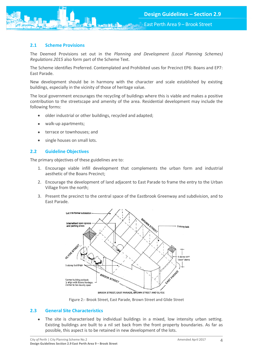

#### <span id="page-4-0"></span>**2.1 Scheme Provisions**

The Deemed Provisions set out in the *Planning and Development (Local Planning Schemes) Regulations 2015* also form part of the Scheme Text.

The Scheme identifies Preferred. Contemplated and Prohibited uses for Precinct EP6: Boans and EP7: East Parade.

New development should be in harmony with the character and scale established by existing buildings, especially in the vicinity of those of heritage value.

The local government encourages the recycling of buildings where this is viable and makes a positive contribution to the streetscape and amenity of the area. Residential development may include the following forms:

- older industrial or other buildings, recycled and adapted;
- walk-up apartments;
- terrace or townhouses; and
- single houses on small lots.

#### **2.2 Guideline Objectives**

The primary objectives of these guidelines are to:

- 1. Encourage viable infill development that complements the urban form and industrial aesthetic of the Boans Precinct;
- 2. Encourage the development of land adjacent to East Parade to frame the entry to the Urban Village from the north;
- 3. Present the precinct to the central space of the Eastbrook Greenway and subdivision, and to East Parade.



Figure 2:- Brook Street, East Parade, Brown Street and Glide Street

#### <span id="page-4-1"></span>**2.3 General Site Characteristics**

 The site is characterised by individual buildings in a mixed, low intensity urban setting. Existing buildings are built to a nil set back from the front property boundaries. As far as possible, this aspect is to be retained in new development of the lots.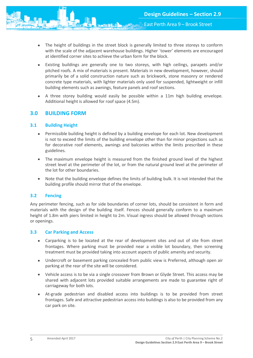- The height of buildings in the street block is generally limited to three storeys to conform with the scale of the adjacent warehouse buildings. Higher `tower' elements are encouraged at identified corner sites to achieve the urban form for the block.
- Existing buildings are generally one to two storeys, with high ceilings, parapets and/or pitched roofs. A mix of materials is present. Materials in new development, however, should primarily be of a solid construction nature such as brickwork, stone masonry or rendered concrete type materials, with lighter materials only used for suspended, lightweight or infill building elements such as awnings, feature panels and roof sections.
- A three storey building would easily be possible within a 11m high building envelope. Additional height is allowed for roof space (4.5m).

## <span id="page-5-0"></span>**3.0 BUILDING FORM**

### <span id="page-5-1"></span>**3.1 Building Height**

- Permissible building height is defined by a building envelope for each lot. New development is not to exceed the limits of the building envelope other than for minor projections such as for decorative roof elements, awnings and balconies within the limits prescribed in these guidelines.
- The maximum envelope height is measured from the finished ground level of the highest street level at the perimeter of the lot, or from the natural ground level at the perimeter of the lot for other boundaries.
- Note that the building envelope defines the limits of building bulk. It is not intended that the building profile should mirror that of the envelope.

#### <span id="page-5-2"></span>**3.2 Fencing**

Any perimeter fencing, such as for side boundaries of corner lots, should be consistent in form and materials with the design of the building itself. Fences should generally conform to a maximum height of 1.8m with piers limited in height to 2m. Visual ingress should be allowed through sections or openings.

#### <span id="page-5-3"></span>**3.3 Car Parking and Access**

- Carparking is to be located at the rear of development sites and out of site from street frontages. Where parking must be provided near a visible lot boundary, then screening treatment must be provided taking into account aspects of public amenity and security.
- Undercroft or basement parking concealed from public view is Preferred, although open air parking at the rear of the site will be considered.
- Vehicle access is to be via a single crossover from Brown or Glyde Street. This access may be shared with adjacent lots provided suitable arrangements are made to guarantee right of carriageway for both lots.
- At-grade pedestrian and disabled access into buildings is to be provided from street frontages. Safe and attractive pedestrian access into buildings is also to be provided from any car park on site.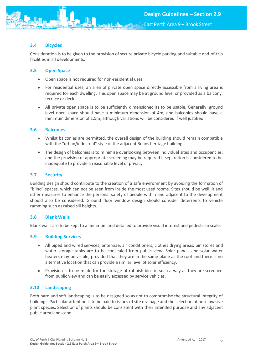East Perth Area 9 – Brook Street

## <span id="page-6-0"></span>**3.4 Bicycles**

Consideration is to be given to the provision of secure private bicycle parking and suitable end-of-trip facilities in all developments.

## <span id="page-6-1"></span>**3.5 Open Space**

- Open space is not required for non-residential uses.
- For residential uses, an area of private open space directly accessible from a living area is required for each dwelling. This open space may be at ground level or provided as a balcony, terrace or deck.
- All private open space is to be sufficiently dimensioned as to be usable. Generally, ground level open space should have a minimum dimension of 4m, and balconies should have a minimum dimension of 1.5m, although variations will be considered if well justified.

### <span id="page-6-2"></span>**3.6 Balconies**

- Whilst balconies are permitted, the overall design of the building should remain compatible with the "urban/industrial" style of the adjacent Boans heritage buildings.
- The design of balconies is to minimise overlooking between individual sites and occupancies, and the provision of appropriate screening may be required if separation is considered to be inadequate to provide a reasonable level of privacy.

## <span id="page-6-3"></span>**3.7 Security**

Building design should contribute to the creation of a safe environment by avoiding the formation of "blind" spaces, which can not be seen from inside the most used rooms. Sites should be well lit and other measures to enhance the personal safety of people within and adjacent to the development should also be considered. Ground floor window design should consider deterrents to vehicle ramming such as raised sill heights.

### <span id="page-6-4"></span>**3.8 Blank Walls**

Blank walls are to be kept to a minimum and detailed to provide visual interest and pedestrian scale.

### <span id="page-6-5"></span>**3.9 Building Services**

- All piped and wired services, antennae, air conditioners, clothes drying areas, bin stores and water storage tanks are to be concealed from public view. Solar panels and solar water heaters may be visible, provided that they are in the same plane as the roof and there is no alternative location that can provide a similar level of solar efficiency.
- Provision is to be made for the storage of rubbish bins in such a way as they are screened from public view and can be easily accessed by service vehicles.

### <span id="page-6-6"></span>**3.10 Landscaping**

Both hard and soft landscaping is to be designed so as not to compromise the structural integrity of buildings. Particular attention is to be paid to issues of site drainage and the selection of non-invasive plant species. Selection of plants should be consistent with their intended purpose and any adjacent public area landscape.